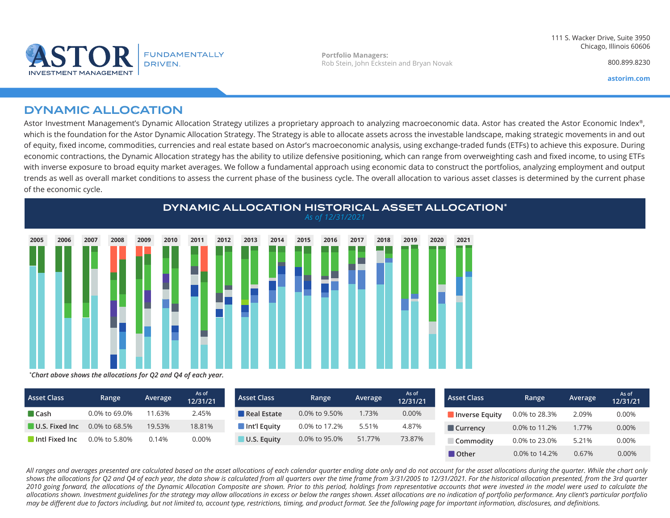



**Portfolio Managers:** Rob Stein, John Eckstein and Bryan Novak

800.899.8230

**astorim.com**

## DYNAMIC ALLOCATION

Astor Investment Management's Dynamic Allocation Strategy utilizes a proprietary approach to analyzing macroeconomic data. Astor has created the Astor Economic Index®, which is the foundation for the Astor Dynamic Allocation Strategy. The Strategy is able to allocate assets across the investable landscape, making strategic movements in and out of equity, fixed income, commodities, currencies and real estate based on Astor's macroeconomic analysis, using exchange-traded funds (ETFs) to achieve this exposure. During economic contractions, the Dynamic Allocation strategy has the ability to utilize defensive positioning, which can range from overweighting cash and fixed income, to using ETFs with inverse exposure to broad equity market averages. We follow a fundamental approach using economic data to construct the portfolios, analyzing employment and output trends as well as overall market conditions to assess the current phase of the business cycle. The overall allocation to various asset classes is determined by the current phase of the economic cycle.



| <b>Asset Class</b>            | Range         | Average | As of<br>12/31/21 | <b>Asset Class</b>          | Range         | Average | As of<br>12/31/21 | <b>Asset Class</b> | Range            | Average | As of<br>12/31/21 |
|-------------------------------|---------------|---------|-------------------|-----------------------------|---------------|---------|-------------------|--------------------|------------------|---------|-------------------|
| $\blacksquare$ Cash           | 0.0% to 69.0% | 1.63%   | 2.45%             | Real Estate                 | 0.0% to 9.50% | .73%    | 0.00%             | Inverse Equity     | 0.0% to 28.3%    | 2.09%   | 0.00%             |
| $\blacksquare$ U.S. Fixed Inc | 0.0% to 68.5% | 19.53%  | 18.81%            | $\blacksquare$ Int'l Equity | 0.0% to 17.2% | 5.51%   | 4.87%             | <b>Currency</b>    | 0.0% to 11.2%    | 1.77%   | 0.00%             |
| Intl Fixed Inc                | 0.0% to 5.80% | 0.14%   | 0.00%             | U.S. Equity                 | 0.0% to 95.0% | 51.77%  | 73.87%            | <b>Commodity</b>   | 0.0% to 23.0%    | 5.21%   | 0.00%             |
|                               |               |         |                   |                             |               |         |                   | <b>n</b> Other     | $0.0\%$ to 14.2% | 0.67%   | $0.00\%$          |

*All ranges and averages presented are calculated based on the asset allocations of each calendar quarter ending date only and do not account for the asset allocations during the quarter. While the chart only shows the allocations for Q2 and Q4 of each year, the data show is calculated from all quarters over the time frame from 3/31/2005 to 12/31/2021. For the historical allocation presented, from the 3rd quarter*  2010 going forward, the allocations of the Dynamic Allocation Composite are shown. Prior to this period, holdings from representative accounts that were invested in the model were used to calculate the *allocations shown. Investment guidelines for the strategy may allow allocations in excess or below the ranges shown. Asset allocations are no indication of portfolio performance. Any client's particular portfolio may be different due to factors including, but not limited to, account type, restrictions, timing, and product format. See the following page for important information, disclosures, and definitions.*